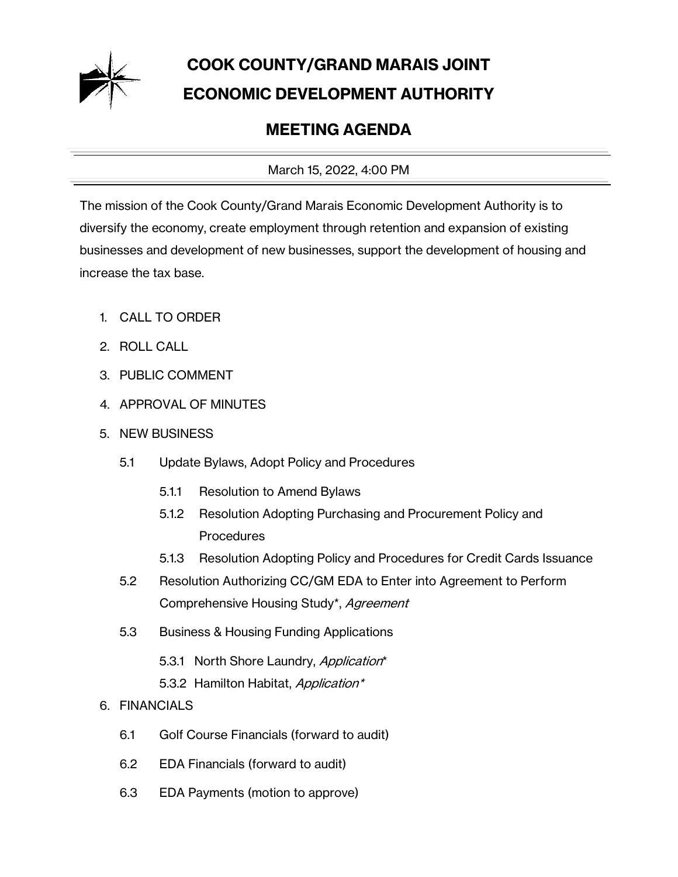

## **COOK COUNTY/GRAND MARAIS JOINT ECONOMIC DEVELOPMENT AUTHORITY**

## **MEETING AGENDA**

March 15, 2022, 4:00 PM

The mission of the Cook County/Grand Marais Economic Development Authority is to diversify the economy, create employment through retention and expansion of existing businesses and development of new businesses, support the development of housing and increase the tax base.

- 1. CALL TO ORDER
- 2. ROLL CALL
- 3. PUBLIC COMMENT
- 4. APPROVAL OF MINUTES
- 5. NEW BUSINESS
	- 5.1 Update Bylaws, Adopt Policy and Procedures
		- 5.1.1 Resolution to Amend Bylaws
		- 5.1.2 Resolution Adopting Purchasing and Procurement Policy and **Procedures**
		- 5.1.3 Resolution Adopting Policy and Procedures for Credit Cards Issuance
	- 5.2 Resolution Authorizing CC/GM EDA to Enter into Agreement to Perform Comprehensive Housing Study\*, Agreement
	- 5.3 Business & Housing Funding Applications
		- 5.3.1 North Shore Laundry, Application\*
		- 5.3.2 Hamilton Habitat, Application\*
- 6. FINANCIALS
	- 6.1 Golf Course Financials (forward to audit)
	- 6.2 EDA Financials (forward to audit)
	- 6.3 EDA Payments (motion to approve)